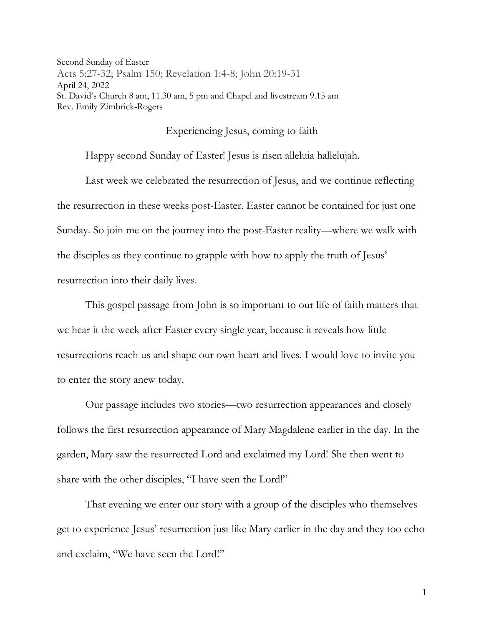Second Sunday of Easter Acts 5:27-32; Psalm 150; Revelation 1:4-8; John 20:19-31 April 24, 2022 St. David's Church 8 am, 11.30 am, 5 pm and Chapel and livestream 9.15 am Rev. Emily Zimbrick-Rogers

## Experiencing Jesus, coming to faith

Happy second Sunday of Easter! Jesus is risen alleluia hallelujah.

Last week we celebrated the resurrection of Jesus, and we continue reflecting the resurrection in these weeks post-Easter. Easter cannot be contained for just one Sunday. So join me on the journey into the post-Easter reality—where we walk with the disciples as they continue to grapple with how to apply the truth of Jesus' resurrection into their daily lives.

This gospel passage from John is so important to our life of faith matters that we hear it the week after Easter every single year, because it reveals how little resurrections reach us and shape our own heart and lives. I would love to invite you to enter the story anew today.

Our passage includes two stories—two resurrection appearances and closely follows the first resurrection appearance of Mary Magdalene earlier in the day. In the garden, Mary saw the resurrected Lord and exclaimed my Lord! She then went to share with the other disciples, "I have seen the Lord!"

That evening we enter our story with a group of the disciples who themselves get to experience Jesus' resurrection just like Mary earlier in the day and they too echo and exclaim, "We have seen the Lord!"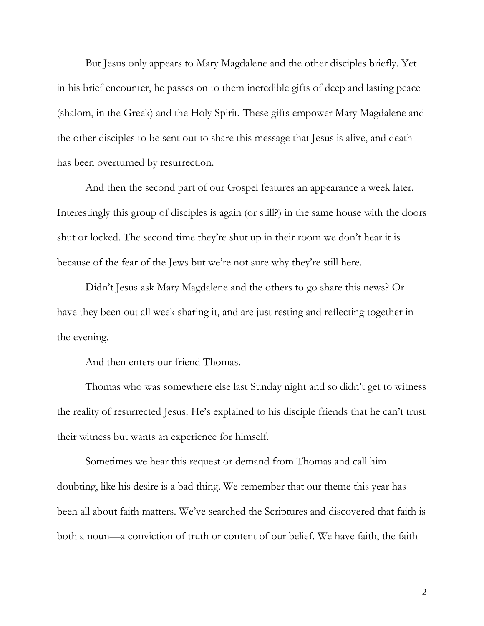But Jesus only appears to Mary Magdalene and the other disciples briefly. Yet in his brief encounter, he passes on to them incredible gifts of deep and lasting peace (shalom, in the Greek) and the Holy Spirit. These gifts empower Mary Magdalene and the other disciples to be sent out to share this message that Jesus is alive, and death has been overturned by resurrection.

And then the second part of our Gospel features an appearance a week later. Interestingly this group of disciples is again (or still?) in the same house with the doors shut or locked. The second time they're shut up in their room we don't hear it is because of the fear of the Jews but we're not sure why they're still here.

Didn't Jesus ask Mary Magdalene and the others to go share this news? Or have they been out all week sharing it, and are just resting and reflecting together in the evening.

And then enters our friend Thomas.

Thomas who was somewhere else last Sunday night and so didn't get to witness the reality of resurrected Jesus. He's explained to his disciple friends that he can't trust their witness but wants an experience for himself.

Sometimes we hear this request or demand from Thomas and call him doubting, like his desire is a bad thing. We remember that our theme this year has been all about faith matters. We've searched the Scriptures and discovered that faith is both a noun—a conviction of truth or content of our belief. We have faith, the faith

2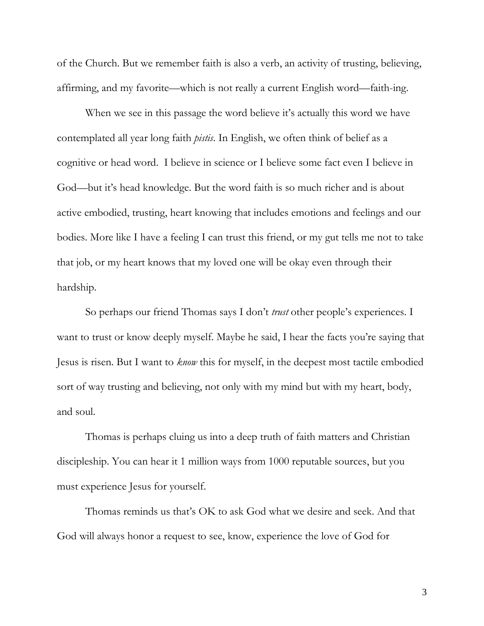of the Church. But we remember faith is also a verb, an activity of trusting, believing, affirming, and my favorite—which is not really a current English word—faith-ing.

When we see in this passage the word believe it's actually this word we have contemplated all year long faith *pistis*. In English, we often think of belief as a cognitive or head word. I believe in science or I believe some fact even I believe in God—but it's head knowledge. But the word faith is so much richer and is about active embodied, trusting, heart knowing that includes emotions and feelings and our bodies. More like I have a feeling I can trust this friend, or my gut tells me not to take that job, or my heart knows that my loved one will be okay even through their hardship.

So perhaps our friend Thomas says I don't *trust* other people's experiences. I want to trust or know deeply myself. Maybe he said, I hear the facts you're saying that Jesus is risen. But I want to *know* this for myself, in the deepest most tactile embodied sort of way trusting and believing, not only with my mind but with my heart, body, and soul.

Thomas is perhaps cluing us into a deep truth of faith matters and Christian discipleship. You can hear it 1 million ways from 1000 reputable sources, but you must experience Jesus for yourself.

Thomas reminds us that's OK to ask God what we desire and seek. And that God will always honor a request to see, know, experience the love of God for

3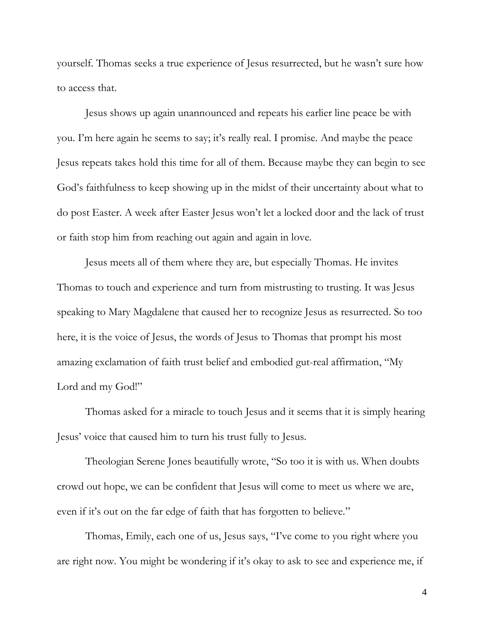yourself. Thomas seeks a true experience of Jesus resurrected, but he wasn't sure how to access that.

Jesus shows up again unannounced and repeats his earlier line peace be with you. I'm here again he seems to say; it's really real. I promise. And maybe the peace Jesus repeats takes hold this time for all of them. Because maybe they can begin to see God's faithfulness to keep showing up in the midst of their uncertainty about what to do post Easter. A week after Easter Jesus won't let a locked door and the lack of trust or faith stop him from reaching out again and again in love.

Jesus meets all of them where they are, but especially Thomas. He invites Thomas to touch and experience and turn from mistrusting to trusting. It was Jesus speaking to Mary Magdalene that caused her to recognize Jesus as resurrected. So too here, it is the voice of Jesus, the words of Jesus to Thomas that prompt his most amazing exclamation of faith trust belief and embodied gut-real affirmation, "My Lord and my God!"

Thomas asked for a miracle to touch Jesus and it seems that it is simply hearing Jesus' voice that caused him to turn his trust fully to Jesus.

Theologian Serene Jones beautifully wrote, "So too it is with us. When doubts crowd out hope, we can be confident that Jesus will come to meet us where we are, even if it's out on the far edge of faith that has forgotten to believe."

Thomas, Emily, each one of us, Jesus says, "I've come to you right where you are right now. You might be wondering if it's okay to ask to see and experience me, if

4